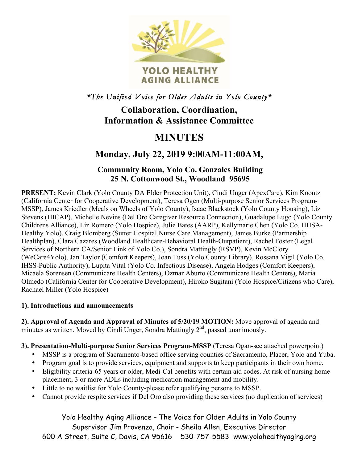

## *\*The Unified Voice for Older Adults in Yolo County\**

## **Collaboration, Coordination, Information & Assistance Committee**

# **MINUTES**

# **Monday, July 22, 2019 9:00AM-11:00AM,**

## **Community Room, Yolo Co. Gonzales Building 25 N. Cottonwood St., Woodland 95695**

**PRESENT:** Kevin Clark (Yolo County DA Elder Protection Unit), Cindi Unger (ApexCare), Kim Koontz (California Center for Cooperative Development), Teresa Ogen (Multi-purpose Senior Services Program-MSSP), James Kriedler (Meals on Wheels of Yolo County), Isaac Blackstock (Yolo County Housing), Liz Stevens (HICAP), Michelle Nevins (Del Oro Caregiver Resource Connection), Guadalupe Lugo (Yolo County Childrens Alliance), Liz Romero (Yolo Hospice), Julie Bates (AARP), Kellymarie Chen (Yolo Co. HHSA-Healthy Yolo), Craig Blomberg (Sutter Hospital Nurse Care Management), James Burke (Partnership Healthplan), Clara Cazares (Woodland Healthcare-Behavioral Health-Outpatient), Rachel Foster (Legal Services of Northern CA/Senior Link of Yolo Co.), Sondra Mattingly (RSVP), Kevin McClory (WeCare4Yolo), Jan Taylor (Comfort Keepers), Joan Tuss (Yolo County Library), Rossana Vigil (Yolo Co. IHSS-Public Authority), Lupita Vital (Yolo Co. Infectious Disease), Angela Hodges (Comfort Keepers), Micaela Sorensen (Communicare Health Centers), Ozmar Aburto (Communicare Health Centers), Maria Olmedo (California Center for Cooperative Development), Hiroko Sugitani (Yolo Hospice/Citizens who Care), Rachael Miller (Yolo Hospice)

#### **1). Introductions and announcements**

**2). Approval of Agenda and Approval of Minutes of 5/20/19 MOTION:** Move approval of agenda and minutes as written. Moved by Cindi Unger, Sondra Mattingly  $2<sup>nd</sup>$ , passed unanimously.

### **3). Presentation-Multi-purpose Senior Services Program-MSSP** (Teresa Ogan-see attached powerpoint)

- MSSP is a program of Sacramento-based office serving counties of Sacramento, Placer, Yolo and Yuba.
- Program goal is to provide services, equipment and supports to keep participants in their own home.
- Eligibility criteria-65 years or older, Medi-Cal benefits with certain aid codes. At risk of nursing home placement, 3 or more ADLs including medication management and mobility.
- Little to no waitlist for Yolo County-please refer qualifying persons to MSSP.
- Cannot provide respite services if Del Oro also providing these services (no duplication of services)

Yolo Healthy Aging Alliance – The Voice for Older Adults in Yolo County Supervisor Jim Provenza, Chair - Sheila Allen, Executive Director 600 A Street, Suite C, Davis, CA 95616 530-757-5583 www.yolohealthyaging.org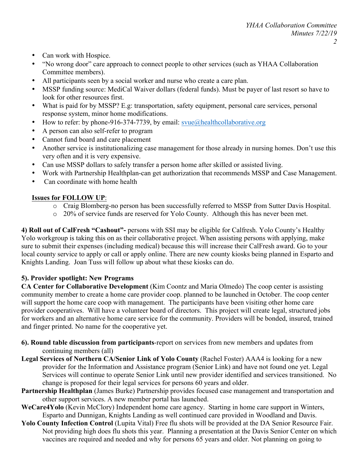- Can work with Hospice.
- "No wrong door" care approach to connect people to other services (such as YHAA Collaboration Committee members).
- All participants seen by a social worker and nurse who create a care plan.
- MSSP funding source: MediCal Waiver dollars (federal funds). Must be payer of last resort so have to look for other resources first.
- What is paid for by MSSP? E.g: transportation, safety equipment, personal care services, personal response system, minor home modifications.
- How to refer: by phone-916-374-7739, by email:  $s$ vue@healthcollaborative.org
- A person can also self-refer to program
- Cannot fund board and care placement
- Another service is institutionalizing case management for those already in nursing homes. Don't use this very often and it is very expensive.
- Can use MSSP dollars to safely transfer a person home after skilled or assisted living.
- Work with Partnership Healthplan-can get authorization that recommends MSSP and Case Management.
- Can coordinate with home health

#### **Issues for FOLLOW UP**:

- o Craig Blomberg-no person has been successfully referred to MSSP from Sutter Davis Hospital.
- o 20% of service funds are reserved for Yolo County. Although this has never been met.

**4) Roll out of CalFresh "Cashout"-** persons with SSI may be eligible for Calfresh. Yolo County's Healthy Yolo workgroup is taking this on as their collaborative project. When assisting persons with applying, make sure to submit their expenses (including medical) because this will increase their CalFresh award. Go to your local county service to apply or call or apply online. There are new county kiosks being planned in Esparto and Knights Landing. Joan Tuss will follow up about what these kiosks can do.

#### **5). Provider spotlight: New Programs**

**CA Center for Collaborative Development** (Kim Coontz and Maria Olmedo) The coop center is assisting community member to create a home care provider coop. planned to be launched in October. The coop center will support the home care coop with management. The participants have been visiting other home care provider cooperatives. Will have a volunteer board of directors. This project will create legal, structured jobs for workers and an alternative home care service for the community. Providers will be bonded, insured, trained and finger printed. No name for the cooperative yet.

- **6). Round table discussion from participants**-report on services from new members and updates from continuing members (all)
- **Legal Services of Northern CA/Senior Link of Yolo County** (Rachel Foster) AAA4 is looking for a new provider for the Information and Assistance program (Senior Link) and have not found one yet. Legal Services will continue to operate Senior Link until new provider identified and services transitioned. No change is proposed for their legal services for persons 60 years and older.
- **Partnership Healthplan** (James Burke) Partnership provides focused case management and transportation and other support services. A new member portal has launched.
- **WeCare4Yolo** (Kevin McClory) Independent home care agency. Starting in home care support in Winters, Esparto and Dunnigan, Knights Landing as well continued care provided in Woodland and Davis.
- **Yolo County Infection Control** (Lupita Vital) Free flu shots will be provided at the DA Senior Resource Fair. Not providing high does flu shots this year. Planning a presentation at the Davis Senior Center on which vaccines are required and needed and why for persons 65 years and older. Not planning on going to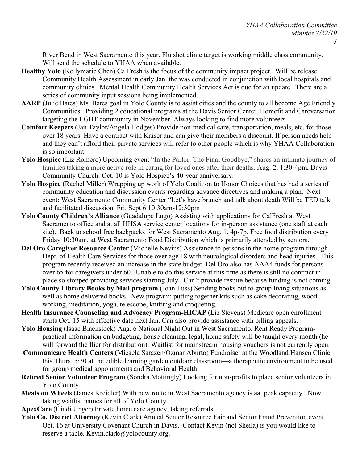River Bend in West Sacramento this year. Flu shot clinic target is working middle class community. Will send the schedule to YHAA when available.

- **Healthy Yolo** (Kellymarie Chen) CalFresh is the focus of the community impact project. Will be release Community Health Assessment in early Jan. the was conducted in conjunction with local hospitals and community clinics. Mental Health Community Health Services Act is due for an update. There are a series of community input sessions being implemented.
- **AARP** (Julie Bates) Ms. Bates goal in Yolo County is to assist cities and the county to all become Age Friendly Communities. Providing 2 educational programs at the Davis Senior Center. Homefit and Careversation targeting the LGBT community in November. Always looking to find more volunteers.
- **Comfort Keepers** (Jan Taylor/Angela Hodges) Provide non-medical care, transportation, meals, etc. for those over 18 years. Have a contract with Kaiser and can give their members a discount. If person needs help and they can't afford their private services will refer to other people which is why YHAA Collaboration is so important.
- Yolo Hospice (Liz Romero) Upcoming event "In the Parlor: The Final Goodbye," shares an intimate journey of families taking a more active role in caring for loved ones after their deaths. Aug. 2, 1:30-4pm, Davis Community Church. Oct. 10 is Yolo Hospice's 40-year anniversary.
- **Yolo Hospice** (Rachel Miller) Wrapping up work of Yolo Coalition to Honor Choices that has had a series of community education and discussion events regarding advance directives and making a plan. Next event: West Sacramento Community Center "Let's have brunch and talk about death Will be TED talk and facilitated discussion. Fri. Sept 6 10:30am-12:30pm
- **Yolo County Children's Alliance** (Guadalupe Lugo) Assisting with applications for CalFresh at West Sacramento office and at all HHSA service center locations for in-person assistance (one staff at each site). Back to school free backpacks for West Sacramento Aug. 1, 4p-7p. Free food distribution every Friday 10:30am, at West Sacramento Food Distribution which is primarily attended by seniors.
- **Del Oro Caregiver Resource Center** (Michelle Nevins) Assistance to persons in the home program through Dept. of Health Care Services for those over age 18 with neurological disorders and head injuries. This program recently received an increase in the state budget. Del Oro also has AAA4 funds for persons over 65 for caregivers under 60. Unable to do this service at this time as there is still no contract in place so stopped providing services starting July. Can't provide respite because funding is not coming.
- **Yolo County Library Books by Mail program** (Joan Tuss) Sending books out to group living situations as well as home delivered books. New program: putting together kits such as cake decorating, wood working, meditation, yoga, telescope, knitting and croqueting.
- **Health Insurance Counseling and Advocacy Program-HICAP** (Liz Stevens) Medicare open enrollment starts Oct. 15 with effective date next Jan. Can also provide assistance with billing appeals.
- **Yolo Housing** (Isaac Blackstock) Aug. 6 National Night Out in West Sacramento. Rent Ready Programpractical information on budgeting, house cleaning, legal, home safety will be taught every month (he will forward the flier for distribution). Waitlist for mainstream housing vouchers is not currently open.
- **Communicare Health Centers (**Micaela Sarazen/Ozmar Aburto) Fundraiser at the Woodland Hansen Clinic this Thurs. 5:30 at the edible learning garden outdoor classroom—a therapeutic environment to be used for group medical appointments and Behavioral Health.
- **Retired Senior Volunteer Program** (Sondra Mottingly) Looking for non-profits to place senior volunteers in Yolo County.
- **Meals on Wheels** (James Kreidler) With new route in West Sacramento agency is aat peak capacity. Now taking waitlist names for all of Yolo County.
- **ApexCare** (Cindi Unger) Private home care agency, taking referrals.
- **Yolo Co. District Attorney** (Kevin Clark) Annual Senior Resource Fair and Senior Fraud Prevention event, Oct. 16 at University Covenant Church in Davis. Contact Kevin (not Sheila) is you would like to reserve a table. Kevin.clark@yolocounty.org.